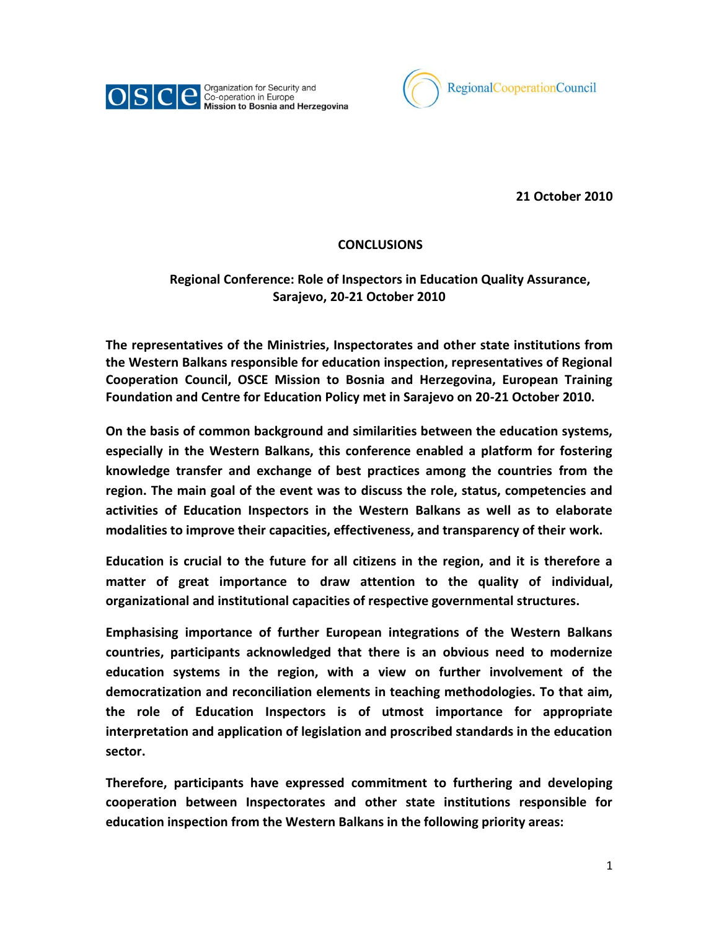



**21 October 2010**

## **CONCLUSIONS**

## **Regional Conference: Role of Inspectors in Education Quality Assurance, Sarajevo, 20-21 October 2010**

**The representatives of the Ministries, Inspectorates and other state institutions from the Western Balkans responsible for education inspection, representatives of Regional Cooperation Council, OSCE Mission to Bosnia and Herzegovina, European Training Foundation and Centre for Education Policy met in Sarajevo on 20-21 October 2010.** 

**On the basis of common background and similarities between the education systems, especially in the Western Balkans, this conference enabled a platform for fostering knowledge transfer and exchange of best practices among the countries from the region. The main goal of the event was to discuss the role, status, competencies and activities of Education Inspectors in the Western Balkans as well as to elaborate modalities to improve their capacities, effectiveness, and transparency of their work.**

**Education is crucial to the future for all citizens in the region, and it is therefore a matter of great importance to draw attention to the quality of individual, organizational and institutional capacities of respective governmental structures.** 

**Emphasising importance of further European integrations of the Western Balkans countries, participants acknowledged that there is an obvious need to modernize education systems in the region, with a view on further involvement of the democratization and reconciliation elements in teaching methodologies. To that aim, the role of Education Inspectors is of utmost importance for appropriate interpretation and application of legislation and proscribed standards in the education sector.** 

**Therefore, participants have expressed commitment to furthering and developing cooperation between Inspectorates and other state institutions responsible for education inspection from the Western Balkans in the following priority areas:**